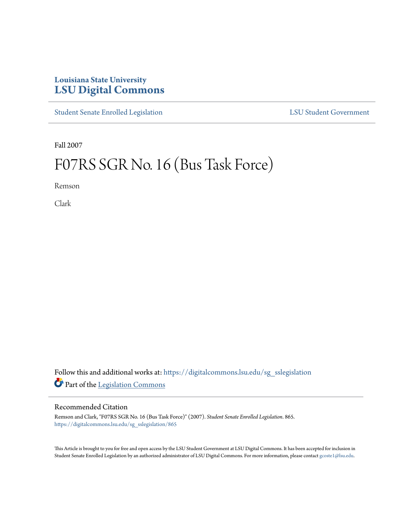## **Louisiana State University [LSU Digital Commons](https://digitalcommons.lsu.edu?utm_source=digitalcommons.lsu.edu%2Fsg_sslegislation%2F865&utm_medium=PDF&utm_campaign=PDFCoverPages)**

[Student Senate Enrolled Legislation](https://digitalcommons.lsu.edu/sg_sslegislation?utm_source=digitalcommons.lsu.edu%2Fsg_sslegislation%2F865&utm_medium=PDF&utm_campaign=PDFCoverPages) [LSU Student Government](https://digitalcommons.lsu.edu/sg?utm_source=digitalcommons.lsu.edu%2Fsg_sslegislation%2F865&utm_medium=PDF&utm_campaign=PDFCoverPages)

Fall 2007

## F07RS SGR No. 16 (Bus Task Force)

Remson

Clark

Follow this and additional works at: [https://digitalcommons.lsu.edu/sg\\_sslegislation](https://digitalcommons.lsu.edu/sg_sslegislation?utm_source=digitalcommons.lsu.edu%2Fsg_sslegislation%2F865&utm_medium=PDF&utm_campaign=PDFCoverPages) Part of the [Legislation Commons](http://network.bepress.com/hgg/discipline/859?utm_source=digitalcommons.lsu.edu%2Fsg_sslegislation%2F865&utm_medium=PDF&utm_campaign=PDFCoverPages)

## Recommended Citation

Remson and Clark, "F07RS SGR No. 16 (Bus Task Force)" (2007). *Student Senate Enrolled Legislation*. 865. [https://digitalcommons.lsu.edu/sg\\_sslegislation/865](https://digitalcommons.lsu.edu/sg_sslegislation/865?utm_source=digitalcommons.lsu.edu%2Fsg_sslegislation%2F865&utm_medium=PDF&utm_campaign=PDFCoverPages)

This Article is brought to you for free and open access by the LSU Student Government at LSU Digital Commons. It has been accepted for inclusion in Student Senate Enrolled Legislation by an authorized administrator of LSU Digital Commons. For more information, please contact [gcoste1@lsu.edu.](mailto:gcoste1@lsu.edu)